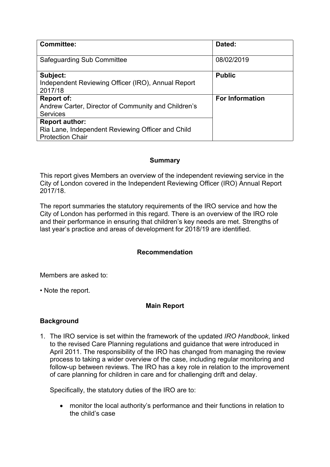| <b>Committee:</b>                                                                                     | Dated:                 |
|-------------------------------------------------------------------------------------------------------|------------------------|
| Safeguarding Sub Committee                                                                            | 08/02/2019             |
| Subject:<br>Independent Reviewing Officer (IRO), Annual Report<br>2017/18                             | <b>Public</b>          |
| <b>Report of:</b><br>Andrew Carter, Director of Community and Children's<br><b>Services</b>           | <b>For Information</b> |
| <b>Report author:</b><br>Ria Lane, Independent Reviewing Officer and Child<br><b>Protection Chair</b> |                        |

### **Summary**

This report gives Members an overview of the independent reviewing service in the City of London covered in the Independent Reviewing Officer (IRO) Annual Report 2017/18.

The report summaries the statutory requirements of the IRO service and how the City of London has performed in this regard. There is an overview of the IRO role and their performance in ensuring that children's key needs are met. Strengths of last year's practice and areas of development for 2018/19 are identified.

# **Recommendation**

Members are asked to:

• Note the report.

# **Main Report**

# **Background**

1. The IRO service is set within the framework of the updated *IRO Handbook*, linked to the revised Care Planning regulations and guidance that were introduced in April 2011. The responsibility of the IRO has changed from managing the review process to taking a wider overview of the case, including regular monitoring and follow-up between reviews. The IRO has a key role in relation to the improvement of care planning for children in care and for challenging drift and delay.

Specifically, the statutory duties of the IRO are to:

 monitor the local authority's performance and their functions in relation to the child's case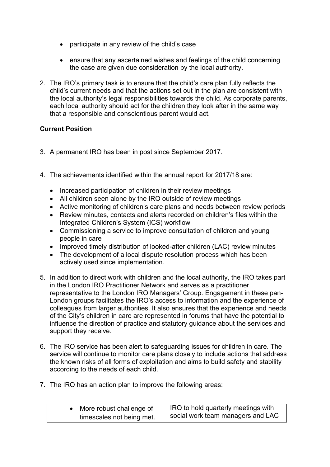- participate in any review of the child's case
- ensure that any ascertained wishes and feelings of the child concerning the case are given due consideration by the local authority.
- 2. The IRO's primary task is to ensure that the child's care plan fully reflects the child's current needs and that the actions set out in the plan are consistent with the local authority's legal responsibilities towards the child. As corporate parents, each local authority should act for the children they look after in the same way that a responsible and conscientious parent would act.

### **Current Position**

- 3. A permanent IRO has been in post since September 2017.
- 4. The achievements identified within the annual report for 2017/18 are:
	- Increased participation of children in their review meetings
	- All children seen alone by the IRO outside of review meetings
	- Active monitoring of children's care plans and needs between review periods
	- Review minutes, contacts and alerts recorded on children's files within the Integrated Children's System (ICS) workflow
	- Commissioning a service to improve consultation of children and young people in care
	- Improved timely distribution of looked-after children (LAC) review minutes
	- The development of a local dispute resolution process which has been actively used since implementation.
- 5. In addition to direct work with children and the local authority, the IRO takes part in the London IRO Practitioner Network and serves as a practitioner representative to the London IRO Managers' Group. Engagement in these pan-London groups facilitates the IRO's access to information and the experience of colleagues from larger authorities. It also ensures that the experience and needs of the City's children in care are represented in forums that have the potential to influence the direction of practice and statutory guidance about the services and support they receive.
- 6. The IRO service has been alert to safeguarding issues for children in care. The service will continue to monitor care plans closely to include actions that address the known risks of all forms of exploitation and aims to build safety and stability according to the needs of each child.
- 7. The IRO has an action plan to improve the following areas:

| More robust challenge of  | IRO to hold quarterly meetings with |
|---------------------------|-------------------------------------|
| timescales not being met. | social work team managers and LAC   |